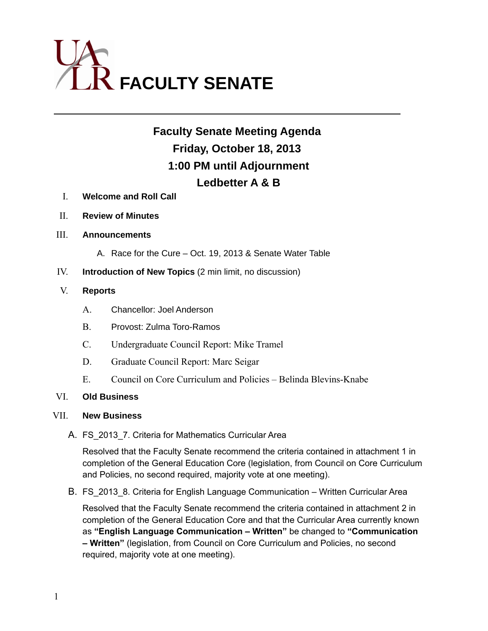

# **Faculty Senate Meeting Agenda Friday, October 18, 2013 1:00 PM until Adjournment Ledbetter A & B**

- I. **Welcome and Roll Call**
- II. **Review of Minutes**
- III. **Announcements**
	- A. Race for the Cure Oct. 19, 2013 & Senate Water Table
- IV. **Introduction of New Topics** (2 min limit, no discussion)

### V. **Reports**

- A. Chancellor: Joel Anderson
- B. Provost: Zulma Toro-Ramos
- C. Undergraduate Council Report: Mike Tramel
- D. Graduate Council Report: Marc Seigar
- E. Council on Core Curriculum and Policies Belinda Blevins-Knabe

## VI. **Old Business**

### VII. **New Business**

A. FS 2013 7. Criteria for Mathematics Curricular Area

Resolved that the Faculty Senate recommend the criteria contained in attachment 1 in completion of the General Education Core (legislation, from Council on Core Curriculum and Policies, no second required, majority vote at one meeting).

B. FS 2013 8. Criteria for English Language Communication – Written Curricular Area

Resolved that the Faculty Senate recommend the criteria contained in attachment 2 in completion of the General Education Core and that the Curricular Area currently known as **"English Language Communication – Written"** be changed to **"Communication – Written"** (legislation, from Council on Core Curriculum and Policies, no second required, majority vote at one meeting).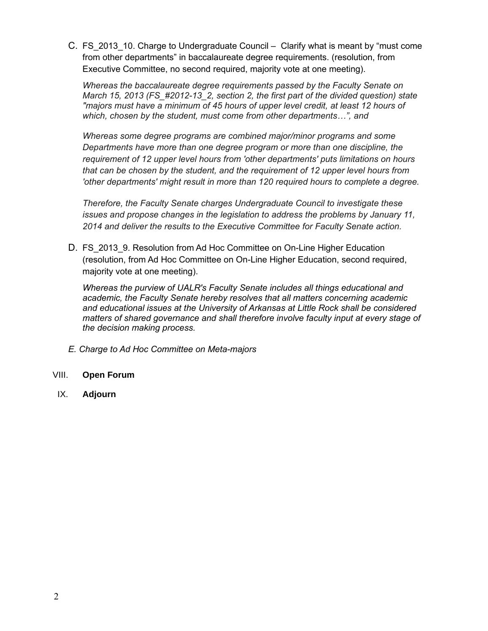C. FS 2013 10. Charge to Undergraduate Council – Clarify what is meant by "must come from other departments" in baccalaureate degree requirements. (resolution, from Executive Committee, no second required, majority vote at one meeting).

*Whereas the baccalaureate degree requirements passed by the Faculty Senate on March 15, 2013 (FS\_#2012-13\_2, section 2, the first part of the divided question) state "majors must have a minimum of 45 hours of upper level credit, at least 12 hours of which, chosen by the student, must come from other departments…", and*

*Whereas some degree programs are combined major/minor programs and some Departments have more than one degree program or more than one discipline, the requirement of 12 upper level hours from 'other departments' puts limitations on hours that can be chosen by the student, and the requirement of 12 upper level hours from 'other departments' might result in more than 120 required hours to complete a degree.*

*Therefore, the Faculty Senate charges Undergraduate Council to investigate these issues and propose changes in the legislation to address the problems by January 11, 2014 and deliver the results to the Executive Committee for Faculty Senate action.*

D. FS 2013 9. Resolution from Ad Hoc Committee on On-Line Higher Education (resolution, from Ad Hoc Committee on On-Line Higher Education, second required, majority vote at one meeting).

*Whereas the purview of UALR's Faculty Senate includes all things educational and academic, the Faculty Senate hereby resolves that all matters concerning academic and educational issues at the University of Arkansas at Little Rock shall be considered matters of shared governance and shall therefore involve faculty input at every stage of the decision making process.* 

- *E. Charge to Ad Hoc Committee on Meta-majors*
- VIII. **Open Forum**
- IX. **Adjourn**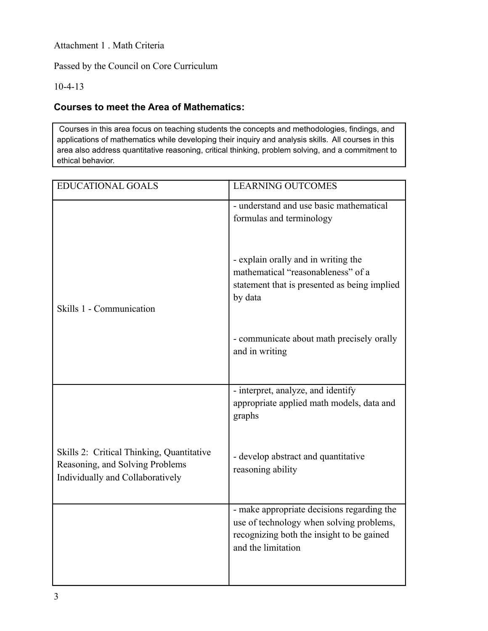Attachment 1 . Math Criteria

Passed by the Council on Core Curriculum

10-4-13

# **Courses to meet the Area of Mathematics:**

Courses in this area focus on teaching students the concepts and methodologies, findings, and applications of mathematics while developing their inquiry and analysis skills. All courses in this area also address quantitative reasoning, critical thinking, problem solving, and a commitment to ethical behavior.

| <b>EDUCATIONAL GOALS</b>                                                                                         | <b>LEARNING OUTCOMES</b>                                                                                                                                  |
|------------------------------------------------------------------------------------------------------------------|-----------------------------------------------------------------------------------------------------------------------------------------------------------|
|                                                                                                                  | - understand and use basic mathematical<br>formulas and terminology                                                                                       |
| Skills 1 - Communication                                                                                         | - explain orally and in writing the<br>mathematical "reasonableness" of a<br>statement that is presented as being implied<br>by data                      |
|                                                                                                                  | - communicate about math precisely orally<br>and in writing                                                                                               |
|                                                                                                                  | - interpret, analyze, and identify<br>appropriate applied math models, data and<br>graphs                                                                 |
| Skills 2: Critical Thinking, Quantitative<br>Reasoning, and Solving Problems<br>Individually and Collaboratively | - develop abstract and quantitative<br>reasoning ability                                                                                                  |
|                                                                                                                  | - make appropriate decisions regarding the<br>use of technology when solving problems,<br>recognizing both the insight to be gained<br>and the limitation |
|                                                                                                                  |                                                                                                                                                           |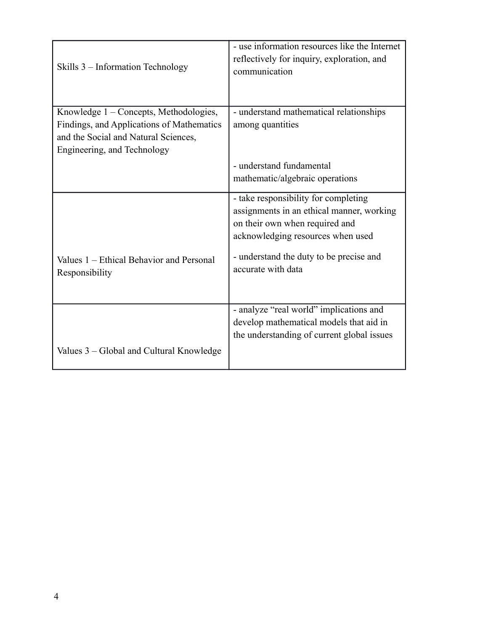| Skills 3 – Information Technology                                                                                                                          | - use information resources like the Internet<br>reflectively for inquiry, exploration, and<br>communication                                                                                                              |
|------------------------------------------------------------------------------------------------------------------------------------------------------------|---------------------------------------------------------------------------------------------------------------------------------------------------------------------------------------------------------------------------|
| Knowledge 1 - Concepts, Methodologies,<br>Findings, and Applications of Mathematics<br>and the Social and Natural Sciences,<br>Engineering, and Technology | - understand mathematical relationships<br>among quantities                                                                                                                                                               |
|                                                                                                                                                            | - understand fundamental                                                                                                                                                                                                  |
|                                                                                                                                                            | mathematic/algebraic operations                                                                                                                                                                                           |
| Values 1 – Ethical Behavior and Personal<br>Responsibility                                                                                                 | - take responsibility for completing<br>assignments in an ethical manner, working<br>on their own when required and<br>acknowledging resources when used<br>- understand the duty to be precise and<br>accurate with data |
| Values 3 – Global and Cultural Knowledge                                                                                                                   | - analyze "real world" implications and<br>develop mathematical models that aid in<br>the understanding of current global issues                                                                                          |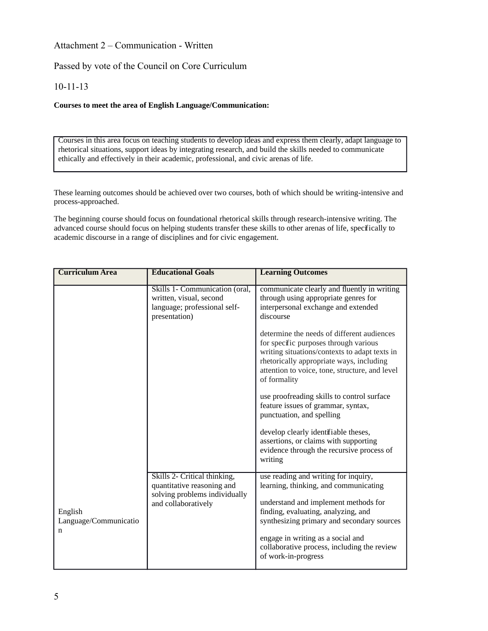### Attachment 2 – Communication - Written

Passed by vote of the Council on Core Curriculum

### 10-11-13

#### **Courses to meet the area of English Language/Communication:**

Courses in this area focus on teaching students to develop ideas and express them clearly, adapt language to rhetorical situations, support ideas by integrating research, and build the skills needed to communicate ethically and effectively in their academic, professional, and civic arenas of life.

These learning outcomes should be achieved over two courses, both of which should be writing-intensive and process-approached.

The beginning course should focus on foundational rhetorical skills through research-intensive writing. The advanced course should focus on helping students transfer these skills to other arenas of life, specifically to academic discourse in a range of disciplines and for civic engagement.

| <b>Curriculum Area</b>                                                                                                                                      | <b>Educational Goals</b>                                                                                   | <b>Learning Outcomes</b>                                                                                                                                                                                                                           |
|-------------------------------------------------------------------------------------------------------------------------------------------------------------|------------------------------------------------------------------------------------------------------------|----------------------------------------------------------------------------------------------------------------------------------------------------------------------------------------------------------------------------------------------------|
|                                                                                                                                                             | Skills 1- Communication (oral,<br>written, visual, second<br>language; professional self-<br>presentation) | communicate clearly and fluently in writing<br>through using appropriate genres for<br>interpersonal exchange and extended<br>discourse                                                                                                            |
|                                                                                                                                                             |                                                                                                            | determine the needs of different audiences<br>for specific purposes through various<br>writing situations/contexts to adapt texts in<br>rhetorically appropriate ways, including<br>attention to voice, tone, structure, and level<br>of formality |
|                                                                                                                                                             |                                                                                                            | use proofreading skills to control surface<br>feature issues of grammar, syntax,<br>punctuation, and spelling                                                                                                                                      |
|                                                                                                                                                             |                                                                                                            | develop clearly identifiable theses,<br>assertions, or claims with supporting<br>evidence through the recursive process of<br>writing                                                                                                              |
| Skills 2- Critical thinking,<br>quantitative reasoning and<br>solving problems individually<br>and collaboratively<br>English<br>Language/Communicatio<br>n |                                                                                                            | use reading and writing for inquiry,<br>learning, thinking, and communicating                                                                                                                                                                      |
|                                                                                                                                                             |                                                                                                            | understand and implement methods for<br>finding, evaluating, analyzing, and<br>synthesizing primary and secondary sources                                                                                                                          |
|                                                                                                                                                             |                                                                                                            | engage in writing as a social and<br>collaborative process, including the review<br>of work-in-progress                                                                                                                                            |